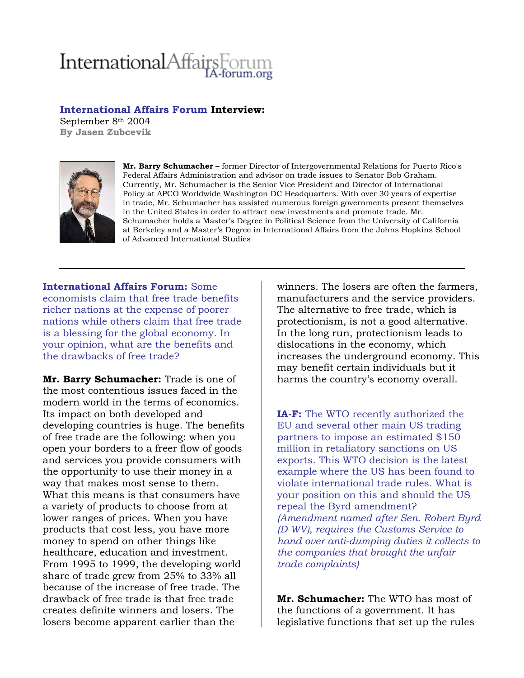## InternationalAffairsF

## **International Affairs Forum Interview:**

September 8th 2004 **By Jasen Zubcevik** 



**Mr. Barry Schumacher** – former Director of Intergovernmental Relations for Puerto Rico's Federal Affairs Administration and advisor on trade issues to Senator Bob Graham. Currently, Mr. Schumacher is the Senior Vice President and Director of International Policy at APCO Worldwide Washington DC Headquarters. With over 30 years of expertise in trade, Mr. Schumacher has assisted numerous foreign governments present themselves in the United States in order to attract new investments and promote trade. Mr. Schumacher holds a Master's Degree in Political Science from the University of California at Berkeley and a Master's Degree in International Affairs from the Johns Hopkins School of Advanced International Studies

**International Affairs Forum:** Some economists claim that free trade benefits richer nations at the expense of poorer nations while others claim that free trade is a blessing for the global economy. In your opinion, what are the benefits and the drawbacks of free trade?

**Mr. Barry Schumacher:** Trade is one of the most contentious issues faced in the modern world in the terms of economics. Its impact on both developed and developing countries is huge. The benefits of free trade are the following: when you open your borders to a freer flow of goods and services you provide consumers with the opportunity to use their money in a way that makes most sense to them. What this means is that consumers have a variety of products to choose from at lower ranges of prices. When you have products that cost less, you have more money to spend on other things like healthcare, education and investment. From 1995 to 1999, the developing world share of trade grew from 25% to 33% all because of the increase of free trade. The drawback of free trade is that free trade creates definite winners and losers. The losers become apparent earlier than the

winners. The losers are often the farmers, manufacturers and the service providers. The alternative to free trade, which is protectionism, is not a good alternative. In the long run, protectionism leads to dislocations in the economy, which increases the underground economy. This may benefit certain individuals but it harms the country's economy overall.

**IA-F:** The WTO recently authorized the EU and several other main US trading partners to impose an estimated \$150 million in retaliatory sanctions on US exports. This WTO decision is the latest example where the US has been found to violate international trade rules. What is your position on this and should the US repeal the Byrd amendment? *(Amendment named after Sen. Robert Byrd (D-WV), requires the Customs Service to hand over anti-dumping duties it collects to the companies that brought the unfair trade complaints)*

**Mr. Schumacher:** The WTO has most of the functions of a government. It has legislative functions that set up the rules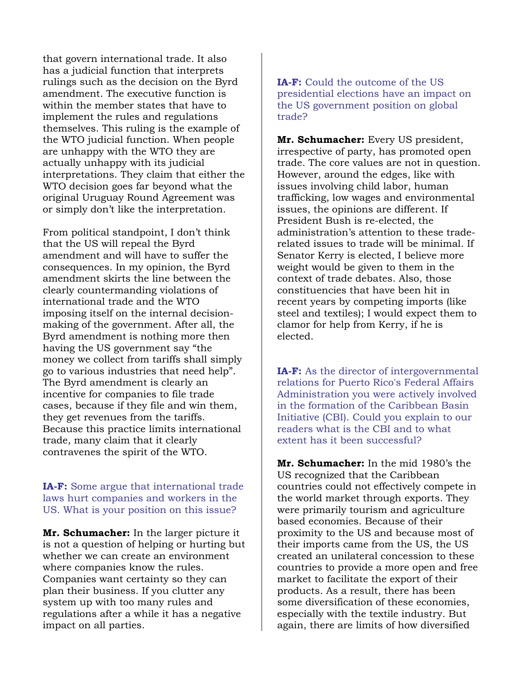that govern international trade. It also has a judicial function that interprets rulings such as the decision on the Byrd amendment. The executive function is within the member states that have to implement the rules and regulations themselves. This ruling is the example of the WTO judicial function. When people are unhappy with the WTO they are actually unhappy with its judicial interpretations. They claim that either the WTO decision goes far beyond what the original Uruguay Round Agreement was or simply don't like the interpretation.

From political standpoint, I don't think that the US will repeal the Byrd amendment and will have to suffer the consequences. In my opinion, the Byrd amendment skirts the line between the clearly countermanding violations of international trade and the WTO imposing itself on the internal decisionmaking of the government. After all, the Byrd amendment is nothing more then having the US government say "the money we collect from tariffs shall simply go to various industries that need help". The Byrd amendment is clearly an incentive for companies to file trade cases, because if they file and win them, they get revenues from the tariffs. Because this practice limits international trade, many claim that it clearly contravenes the spirit of the WTO.

**IA-F:** Some argue that international trade laws hurt companies and workers in the US. What is your position on this issue?

**Mr. Schumacher:** In the larger picture it is not a question of helping or hurting but whether we can create an environment where companies know the rules. Companies want certainty so they can plan their business. If you clutter any system up with too many rules and regulations after a while it has a negative impact on all parties.

**IA-F:** Could the outcome of the US presidential elections have an impact on the US government position on global trade?

**Mr. Schumacher:** Every US president, irrespective of party, has promoted open trade. The core values are not in question. However, around the edges, like with issues involving child labor, human trafficking, low wages and environmental issues, the opinions are different. If President Bush is re-elected, the administration's attention to these traderelated issues to trade will be minimal. If Senator Kerry is elected, I believe more weight would be given to them in the context of trade debates. Also, those constituencies that have been hit in recent years by competing imports (like steel and textiles); I would expect them to clamor for help from Kerry, if he is elected.

**IA-F:** As the director of intergovernmental relations for Puerto Rico's Federal Affairs Administration you were actively involved in the formation of the Caribbean Basin Initiative (CBI). Could you explain to our readers what is the CBI and to what extent has it been successful?

**Mr. Schumacher:** In the mid 1980's the US recognized that the Caribbean countries could not effectively compete in the world market through exports. They were primarily tourism and agriculture based economies. Because of their proximity to the US and because most of their imports came from the US, the US created an unilateral concession to these countries to provide a more open and free market to facilitate the export of their products. As a result, there has been some diversification of these economies, especially with the textile industry. But again, there are limits of how diversified